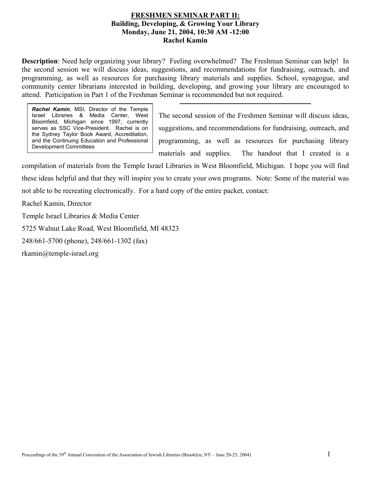#### **FRESHMEN SEMINAR PART II: Building, Developing, & Growing Your Library Monday, June 21, 2004, 10:30 AM -12:00 Rachel Kamin**

**Description**: Need help organizing your library? Feeling overwhelmed? The Freshman Seminar can help! In the second session we will discuss ideas, suggestions, and recommendations for fundraising, outreach, and programming, as well as resources for purchasing library materials and supplies. School, synagogue, and community center librarians interested in building, developing, and growing your library are encouraged to attend. Participation in Part 1 of the Freshman Seminar is recommended but not required.

*Rachel Kamin*, MSI, Director of the Temple Israel Libraries & Media Center, West Bloomfield, Michigan since 1997, currently serves as SSC Vice-President. Rachel is on the Sydney Taylor Book Award, Accreditation, and the Continuing Education and Professional Development Committees

The second session of the Freshmen Seminar will discuss ideas, suggestions, and recommendations for fundraising, outreach, and programming, as well as resources for purchasing library materials and supplies. The handout that I created is a

compilation of materials from the Temple Israel Libraries in West Bloomfield, Michigan. I hope you will find these ideas helpful and that they will inspire you to create your own programs. Note: Some of the material was not able to be recreating electronically. For a hard copy of the entire packet, contact:

Rachel Kamin, Director

Temple Israel Libraries & Media Center

5725 Walnut Lake Road, West Bloomfield, MI 48323

248/661-5700 (phone), 248/661-1302 (fax)

rkamin@temple-israel.org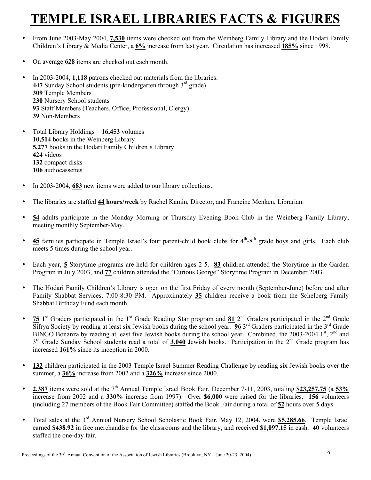## **PLE ISRAEL LIBRARIES FACTS & FIGURES**

- From June 2003-May 2004, **7,530** items were checked out from the Weinberg Family Library and the Hodari Family Children's Library & Media Center, a **6%** increase from last year. Circulation has increased **185%** since 1998.
- On average **628** items are checked out each month.
- In 2003-2004, **1,118** patrons checked out materials from the libraries: **447** Sunday School students (pre-kindergarten through  $3<sup>rd</sup>$  grade) **309** Temple Members **230** Nursery School students **93** Staff Members (Teachers, Office, Professional, Clergy) **39** Non-Members
- Total Library Holdings = **16,453** volumes **10,514** books in the Weinberg Library **5,277** books in the Hodari Family Children's Library **424** videos **132** compact disks **106** audiocassettes
- In 2003-2004, **683** new items were added to our library collections.
- The libraries are staffed **44 hours/week** by Rachel Kamin, Director, and Francine Menken, Librarian.
- **54** adults participate in the Monday Morning or Thursday Evening Book Club in the Weinberg Family Library, meeting monthly September-May.
- $\bullet$  45 families participate in Temple Israel's four parent-child book clubs for  $4<sup>th</sup>$ -8<sup>th</sup> grade boys and girls. Each club meets 5 times during the school year.
- Each year, **5** Storytime programs are held for children ages 2-5. **83** children attended the Storytime in the Garden Program in July 2003, and **77** children attended the "Curious George" Storytime Program in December 2003.
- The Hodari Family Children's Library is open on the first Friday of every month (September-June) before and after Family Shabbat Services, 7:00-8:30 PM. Approximately **35** children receive a book from the Schelberg Family Shabbat Birthday Fund each month.
- **75** 1<sup>st</sup> Graders participated in the 1<sup>st</sup> Grade Reading Star program and  $81$   $2^{nd}$  Graders participated in the  $2^{nd}$  Grade Sifrya Society by reading at least six Jewish books during the school year. **96** 3<sup>rd</sup> Graders participated in the 3<sup>rd</sup> Grade BINGO Bonanza by reading at least five Jewish books during the school year. Combined, the 2003-2004 1st, 2<sup>nd</sup> and 3<sup>rd</sup> Grade Sunday School students read a total of **3,040** Jewish books. Participation in the 2<sup>nd</sup> Grade program has increased **161%** since its inception in 2000.
- **132** children participated in the 2003 Temple Israel Summer Reading Challenge by reading six Jewish books over the summer, a **36%** increase from 2002 and a **326%** increase since 2000.
- **2,387** items were sold at the  $7<sup>th</sup>$  Annual Temple Israel Book Fair, December 7-11, 2003, totaling \$23,257.75 (a 53% increase from 2002 and a **330%** increase from 1997). Over **\$6,000** were raised for the libraries. **156** volunteers (including 27 members of the Book Fair Committee) staffed the Book Fair during a total of **52** hours over 5 days.
- Total sales at the 3rd Annual Nursery School Scholastic Book Fair, May 12, 2004, were **\$5,285.66**. Temple Israel earned **\$438.92** in free merchandise for the classrooms and the library, and received **\$1,097.15** in cash. **40** volunteers staffed the one-day fair.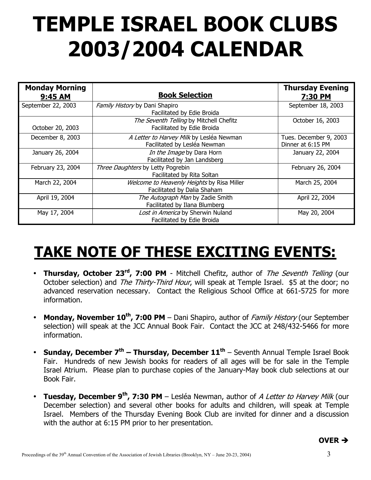# **TEMPLE ISRAEL BOOK CLUBS 2003/2004 CALENDAR**

| <b>Monday Morning</b><br>9:45 AM | <b>Book Selection</b>                                                     | <b>Thursday Evening</b><br>7:30 PM          |
|----------------------------------|---------------------------------------------------------------------------|---------------------------------------------|
| September 22, 2003               | Family History by Dani Shapiro<br>Facilitated by Edie Broida              | September 18, 2003                          |
| October 20, 2003                 | The Seventh Telling by Mitchell Chefitz<br>Facilitated by Edie Broida     | October 16, 2003                            |
| December 8, 2003                 | A Letter to Harvey Milk by Lesléa Newman<br>Facilitated by Lesléa Newman  | Tues. December 9, 2003<br>Dinner at 6:15 PM |
| January 26, 2004                 | In the Image by Dara Horn<br>Facilitated by Jan Landsberg                 | January 22, 2004                            |
| February 23, 2004                | Three Daughters by Letty Pogrebin<br>Facilitated by Rita Soltan           | February 26, 2004                           |
| March 22, 2004                   | Welcome to Heavenly Heights by Risa Miller<br>Facilitated by Dalia Shaham | March 25, 2004                              |
| April 19, 2004                   | The Autograph Man by Zadie Smith<br>Facilitated by Ilana Blumberg         | April 22, 2004                              |
| May 17, 2004                     | Lost in America by Sherwin Nuland<br>Facilitated by Edie Broida           | May 20, 2004                                |

## **TAKE NOTE OF THESE EXCITING EVENTS:**

- **Thursday, October 23<sup>rd</sup>, 7:00 PM** Mitchell Chefitz, author of *The Seventh Telling* (our October selection) and The Thirty-Third Hour, will speak at Temple Israel. \$5 at the door; no advanced reservation necessary. Contact the Religious School Office at 661-5725 for more information.
- **Monday, November 10<sup>th</sup>, 7:00 PM** Dani Shapiro, author of *Family History* (our September selection) will speak at the JCC Annual Book Fair. Contact the JCC at 248/432-5466 for more information.
- **Sunday, December 7th Thursday, December 11th** Seventh Annual Temple Israel Book Fair. Hundreds of new Jewish books for readers of all ages will be for sale in the Temple Israel Atrium. Please plan to purchase copies of the January-May book club selections at our Book Fair.
- **Tuesday, December 9<sup>th</sup>, 7:30 PM** Lesléa Newman, author of A Letter to Harvey Milk (our December selection) and several other books for adults and children, will speak at Temple Israel. Members of the Thursday Evening Book Club are invited for dinner and a discussion with the author at 6:15 PM prior to her presentation.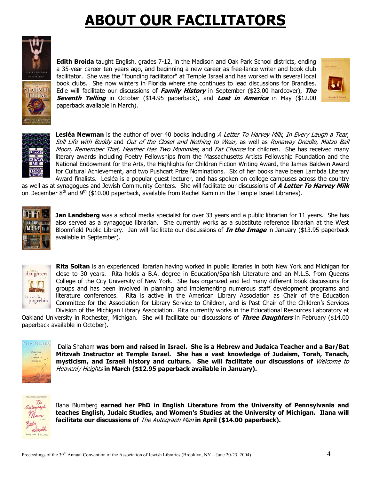## **ABOUT OUR FACILITATORS**



**Edith Broida** taught English, grades 7-12, in the Madison and Oak Park School districts, ending a 35-year career ten years ago, and beginning a new career as free-lance writer and book club facilitator. She was the "founding facilitator" at Temple Israel and has worked with several local book clubs. She now winters in Florida where she continues to lead discussions for Brandies. Edie will facilitate our discussions of **Family History** in September (\$23.00 hardcover), **The Seventh Telling** in October (\$14.95 paperback), and **Lost in America** in May (\$12.00 paperback available in March).





Moon, Remember That, Heather Has Two Mommies, and Fat Chance for children. She has received many **Lesléa Newman** is the author of over 40 books including A Letter To Harvey Milk, In Every Laugh a Tear, Still Life with Buddy and Out of the Closet and Nothing to Wear, as well as Runaway Dreidle, Matzo Ball literary awards including Poetry Fellowships from the Massachusetts Artists Fellowship Foundation and the National Endowment for the Arts, the Highlights for Children Fiction Writing Award, the James Baldwin Award for Cultural Achievement, and two Pushcart Prize Nominations. Six of her books have been Lambda Literary Award finalists. Lesléa is a popular guest lecturer, and has spoken on college campuses across the country

as well as at synagogues and Jewish Community Centers. She will facilitate our discussions of **A Letter To Harvey Milk** on December  $8<sup>th</sup>$  and  $9<sup>th</sup>$  (\$10.00 paperback, available from Rachel Kamin in the Temple Israel Libraries).



**Jan Landsberg** was a school media specialist for over 33 years and a public librarian for 11 years. She has also served as a synagogue librarian. She currently works as a substitute reference librarian at the West Bloomfield Public Library. Jan will facilitate our discussions of **In the Image** in January (\$13.95 paperback available in September).



**Rita Soltan** is an experienced librarian having worked in public libraries in both New York and Michigan for close to 30 years. Rita holds a B.A. degree in Education/Spanish Literature and an M.L.S. from Queens College of the City University of New York. She has organized and led many different book discussions for groups and has been involved in planning and implementing numerous staff development programs and literature conferences. Rita is active in the American Library Association as Chair of the Education Committee for the Association for Library Service to Children, and is Past Chair of the Children's Services Division of the Michigan Library Association. Rita currently works in the Educational Resources Laboratory at

Oakland University in Rochester, Michigan. She will facilitate our discussions of **Three Daughters** in February (\$14.00 paperback available in October).



Dalia Shaham **was born and raised in Israel. She is a Hebrew and Judaica Teacher and a Bar/Bat Mitzvah Instructor at Temple Israel. She has a vast knowledge of Judaism, Torah, Tanach, mysticism, and Israeli history and culture. She will facilitate our discussions of** Welcome to Heavenly Heights **in March (\$12.95 paperback available in January).** 



Ilana Blumberg **earned her PhD in English Literature from the University of Pennsylvania and teaches English, Judaic Studies, and Women's Studies at the University of Michigan. Ilana will facilitate our discussions of** The Autograph Man **in April (\$14.00 paperback).**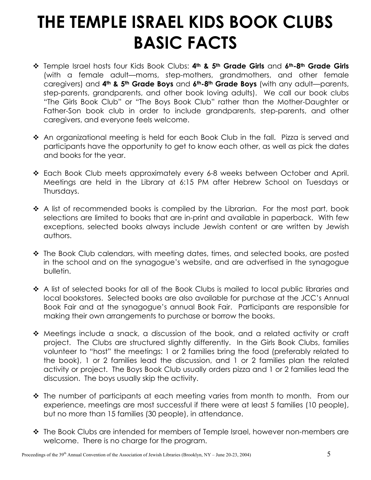## **THE TEMPLE ISRAEL KIDS BOOK CLUBS BASIC FACTS**

- Temple Israel hosts four Kids Book Clubs: **4th & 5th Grade Girls** and **6th-8th Grade Girls** (with a female adult—moms, step-mothers, grandmothers, and other female caregivers) and **4th & 5th Grade Boys** and **6th-8th Grade Boys** (with any adult—parents, step-parents, grandparents, and other book loving adults). We call our book clubs "The Girls Book Club" or "The Boys Book Club" rather than the Mother-Daughter or Father-Son book club in order to include grandparents, step-parents, and other caregivers, and everyone feels welcome.
- ◆ An organizational meeting is held for each Book Club in the fall. Pizza is served and participants have the opportunity to get to know each other, as well as pick the dates and books for the year.
- Each Book Club meets approximately every 6-8 weeks between October and April. Meetings are held in the Library at 6:15 PM after Hebrew School on Tuesdays or Thursdays.
- $\hat{P}$  A list of recommended books is compiled by the Librarian. For the most part, book selections are limited to books that are in-print and available in paperback. With few exceptions, selected books always include Jewish content or are written by Jewish authors.
- The Book Club calendars, with meeting dates, times, and selected books, are posted in the school and on the synagogue's website, and are advertised in the synagogue bulletin.
- A list of selected books for all of the Book Clubs is mailed to local public libraries and local bookstores. Selected books are also available for purchase at the JCC's Annual Book Fair and at the synagogue's annual Book Fair. Participants are responsible for making their own arrangements to purchase or borrow the books.
- Meetings include a snack, a discussion of the book, and a related activity or craft project. The Clubs are structured slightly differently. In the Girls Book Clubs, families volunteer to "host" the meetings: 1 or 2 families bring the food (preferably related to the book), 1 or 2 families lead the discussion, and 1 or 2 families plan the related activity or project. The Boys Book Club usually orders pizza and 1 or 2 families lead the discussion. The boys usually skip the activity.
- The number of participants at each meeting varies from month to month. From our experience, meetings are most successful if there were at least 5 families (10 people), but no more than 15 families (30 people), in attendance.
- \* The Book Clubs are intended for members of Temple Israel, however non-members are welcome. There is no charge for the program.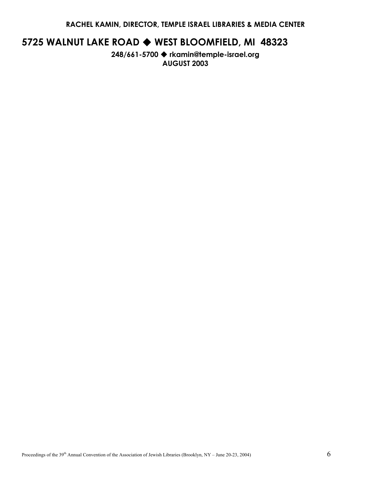**RACHEL KAMIN, DIRECTOR, TEMPLE ISRAEL LIBRARIES & MEDIA CENTER** 

## **5725 WALNUT LAKE ROAD WEST BLOOMFIELD, MI 48323**

**248/661-5700 rkamin@temple-israel.org AUGUST 2003**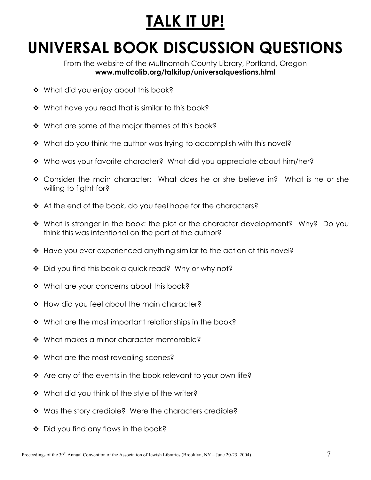## **TALK IT UP!**

## **UNIVERSAL BOOK DISCUSSION QUESTIONS**

From the website of the Multnomah County Library, Portland, Oregon **www.multcolib.org/talkitup/universalquestions.html** 

- ❖ What did you enjoy about this book?
- ❖ What have you read that is similar to this book?
- \* What are some of the major themes of this book?
- ◆ What do you think the author was trying to accomplish with this novel?
- ◆ Who was your favorite character? What did you appreciate about him/her?
- Consider the main character: What does he or she believe in? What is he or she willing to figtht for?
- ◆ At the end of the book, do you feel hope for the characters?
- What is stronger in the book: the plot or the character development? Why? Do you think this was intentional on the part of the author?
- ◆ Have you ever experienced anything similar to the action of this novel?
- ◆ Did you find this book a quick read? Why or why not?
- ❖ What are your concerns about this book?
- ❖ How did you feel about the main character?
- $\cdot$  What are the most important relationships in the book?
- ❖ What makes a minor character memorable?
- ❖ What are the most revealing scenes?
- $\cdot$  Are any of the events in the book relevant to your own life?
- ❖ What did you think of the style of the writer?
- ❖ Was the story credible? Were the characters credible?
- ◆ Did you find any flaws in the book?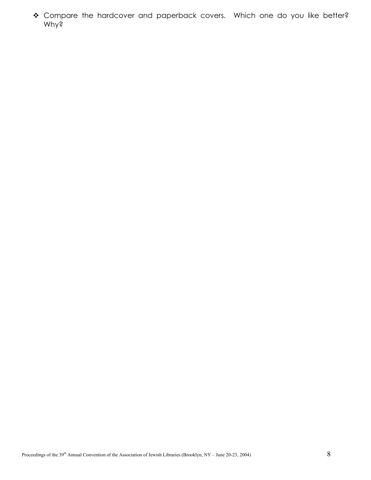\* Compare the hardcover and paperback covers. Which one do you like better? Why?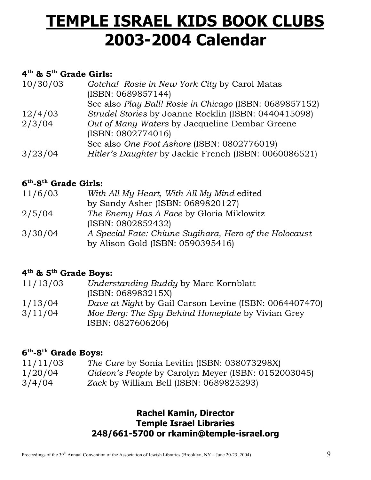## **TEMPLE ISRAEL KIDS BOOK CLUBS 2003-2004 Calendar**

### **4th & 5th Grade Girls:**

| 10/30/03 | Gotcha! Rosie in New York City by Carol Matas<br>(ISBN: 0689857144) |
|----------|---------------------------------------------------------------------|
|          | See also Play Ball! Rosie in Chicago (ISBN: 0689857152)             |
| 12/4/03  | Strudel Stories by Joanne Rocklin (ISBN: 0440415098)                |
| 2/3/04   | Out of Many Waters by Jacqueline Dembar Greene                      |
|          | (ISBN: 0802774016)                                                  |
|          | See also One Foot Ashore (ISBN: 0802776019)                         |
| 3/23/04  | Hitler's Daughter by Jackie French (ISBN: 0060086521)               |

### **6th-8th Grade Girls:**

| 11/6/03 | With All My Heart, With All My Mind edited             |
|---------|--------------------------------------------------------|
|         | by Sandy Asher (ISBN: 0689820127)                      |
| 2/5/04  | The Enemy Has A Face by Gloria Miklowitz               |
|         | (ISBN: 0802852432)                                     |
| 3/30/04 | A Special Fate: Chiune Sugihara, Hero of the Holocaust |
|         | by Alison Gold (ISBN: 0590395416)                      |

### **4th & 5th Grade Boys:**

| 11/13/03 | Understanding Buddy by Marc Kornblatt                  |
|----------|--------------------------------------------------------|
|          | (ISBN: 068983215X)                                     |
| 1/13/04  | Dave at Night by Gail Carson Levine (ISBN: 0064407470) |
| 3/11/04  | Moe Berg: The Spy Behind Homeplate by Vivian Grey      |
|          | ISBN: 0827606206)                                      |

### **6th-8th Grade Boys:**

| 11/11/03 | <i>The Cure by Sonia Levitin (ISBN: 038073298X)</i> |
|----------|-----------------------------------------------------|
| 1/20/04  | Gideon's People by Carolyn Meyer (ISBN: 0152003045) |
| 3/4/04   | Zack by William Bell (ISBN: 0689825293)             |

### **Rachel Kamin, Director Temple Israel Libraries 248/661-5700 or rkamin@temple-israel.org**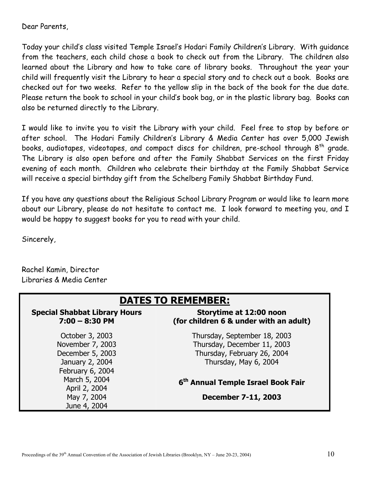Dear Parents,

Today your child's class visited Temple Israel's Hodari Family Children's Library. With guidance from the teachers, each child chose a book to check out from the Library. The children also learned about the Library and how to take care of library books. Throughout the year your child will frequently visit the Library to hear a special story and to check out a book. Books are checked out for two weeks. Refer to the yellow slip in the back of the book for the due date. Please return the book to school in your child's book bag, or in the plastic library bag. Books can also be returned directly to the Library.

I would like to invite you to visit the Library with your child. Feel free to stop by before or after school. The Hodari Family Children's Library & Media Center has over 5,000 Jewish books, audiotapes, videotapes, and compact discs for children, pre-school through 8<sup>th</sup> grade. The Library is also open before and after the Family Shabbat Services on the first Friday evening of each month. Children who celebrate their birthday at the Family Shabbat Service will receive a special birthday gift from the Schelberg Family Shabbat Birthday Fund.

If you have any questions about the Religious School Library Program or would like to learn more about our Library, please do not hesitate to contact me. I look forward to meeting you, and I would be happy to suggest books for you to read with your child.

Sincerely,

Rachel Kamin, Director Libraries & Media Center

| <b>DATES TO REMEMBER:</b>                                                                      |                                                                                                                     |
|------------------------------------------------------------------------------------------------|---------------------------------------------------------------------------------------------------------------------|
| <b>Special Shabbat Library Hours</b><br>$7:00 - 8:30$ PM                                       | Storytime at 12:00 noon<br>(for children 6 & under with an adult)                                                   |
| October 3, 2003<br>November 7, 2003<br>December 5, 2003<br>January 2, 2004<br>February 6, 2004 | Thursday, September 18, 2003<br>Thursday, December 11, 2003<br>Thursday, February 26, 2004<br>Thursday, May 6, 2004 |
| March 5, 2004<br>April 2, 2004                                                                 | 6 <sup>th</sup> Annual Temple Israel Book Fair                                                                      |
| May 7, 2004<br>June 4, 2004                                                                    | December 7-11, 2003                                                                                                 |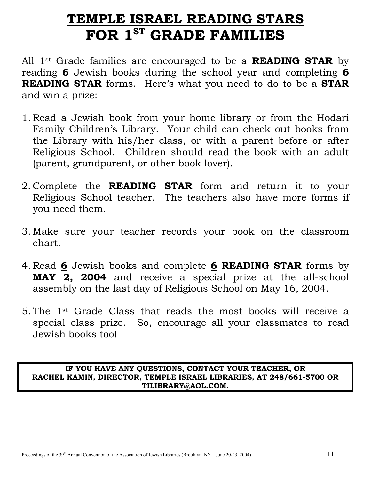## **TEMPLE ISRAEL READING STARS** FOR 1<sup>ST</sup> GRADE FAMILIES

All 1st Grade families are encouraged to be a **READING STAR** by reading **6** Jewish books during the school year and completing **6 READING STAR** forms. Here's what you need to do to be a **STAR** and win a prize:

- 1. Read a Jewish book from your home library or from the Hodari Family Children's Library. Your child can check out books from the Library with his/her class, or with a parent before or after Religious School. Children should read the book with an adult (parent, grandparent, or other book lover).
- 2. Complete the **READING STAR** form and return it to your Religious School teacher. The teachers also have more forms if you need them.
- 3. Make sure your teacher records your book on the classroom chart.
- 4. Read **6** Jewish books and complete **6 READING STAR** forms by **MAY 2, 2004** and receive a special prize at the all-school assembly on the last day of Religious School on May 16, 2004.
- 5. The 1st Grade Class that reads the most books will receive a special class prize. So, encourage all your classmates to read Jewish books too!

**IF YOU HAVE ANY QUESTIONS, CONTACT YOUR TEACHER, OR RACHEL KAMIN, DIRECTOR, TEMPLE ISRAEL LIBRARIES, AT 248/661-5700 OR TILIBRARY@AOL.COM.**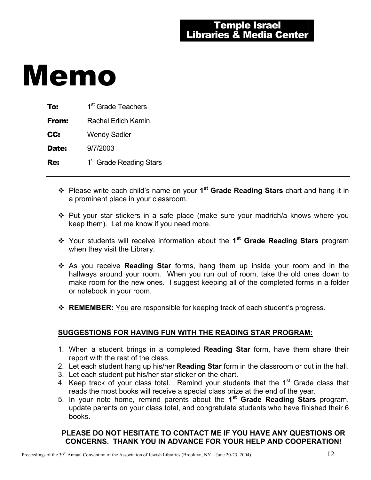| To:   | 1 <sup>st</sup> Grade Teachers      |
|-------|-------------------------------------|
| From: | Rachel Erlich Kamin                 |
| CC:   | <b>Wendy Sadler</b>                 |
| Date: | 9/7/2003                            |
| Re:   | 1 <sup>st</sup> Grade Reading Stars |

- Please write each child's name on your **1st Grade Reading Stars** chart and hang it in a prominent place in your classroom.
- \* Put your star stickers in a safe place (make sure your madrich/a knows where you keep them). Let me know if you need more.
- Your students will receive information about the **1st Grade Reading Stars** program when they visit the Library.
- As you receive **Reading Star** forms, hang them up inside your room and in the hallways around your room. When you run out of room, take the old ones down to make room for the new ones. I suggest keeping all of the completed forms in a folder or notebook in your room.
- **REMEMBER:** You are responsible for keeping track of each student's progress.

#### **SUGGESTIONS FOR HAVING FUN WITH THE READING STAR PROGRAM:**

- 1. When a student brings in a completed **Reading Star** form, have them share their report with the rest of the class.
- 2. Let each student hang up his/her **Reading Star** form in the classroom or out in the hall.
- 3. Let each student put his/her star sticker on the chart.
- 4. Keep track of your class total. Remind your students that the 1<sup>st</sup> Grade class that reads the most books will receive a special class prize at the end of the year.
- 5. In your note home, remind parents about the **1st Grade Reading Stars** program, update parents on your class total, and congratulate students who have finished their 6 books.

#### **PLEASE DO NOT HESITATE TO CONTACT ME IF YOU HAVE ANY QUESTIONS OR CONCERNS. THANK YOU IN ADVANCE FOR YOUR HELP AND COOPERATION!**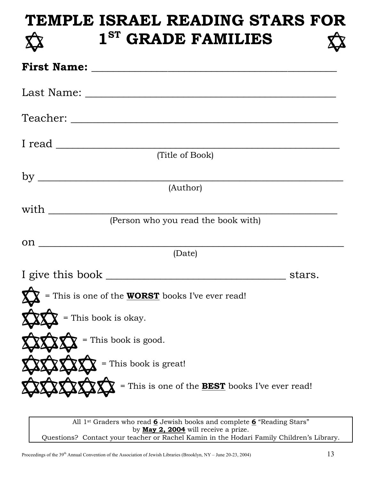## **TEMPLE ISRAEL READING STARS FOR 1ST GRADE FAMILIES**

| $I$ read $\_\_$                                         |  |
|---------------------------------------------------------|--|
| (Title of Book)                                         |  |
|                                                         |  |
| (Author)                                                |  |
| with $\_\_$                                             |  |
| (Person who you read the book with)                     |  |
| $\mathfrak{O} \mathfrak{n}$ $\overline{\phantom{a}}$    |  |
| (Date)                                                  |  |
|                                                         |  |
| = This is one of the <b>WORST</b> books I've ever read! |  |
| = This book is okay.                                    |  |
| = This book is good.                                    |  |
| = This book is great!                                   |  |
| = This is one of the <b>BEST</b> books I've ever read!  |  |
|                                                         |  |

All 1st Graders who read **6** Jewish books and complete **6** "Reading Stars" by **May 2, 2004** will receive a prize. Questions? Contact your teacher or Rachel Kamin in the Hodari Family Children's Library.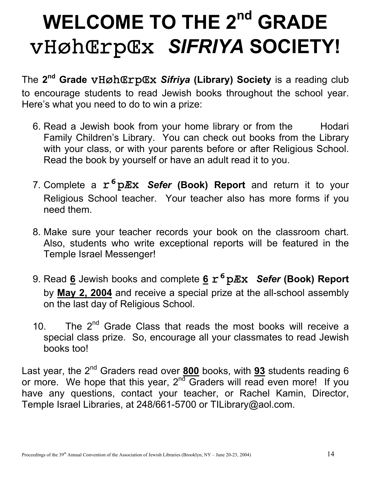# WELCOME TO THE 2<sup>nd</sup> GRADE vHøhŒrpŒx *SIFRIYA* **SOCIETY!**

The **2nd Grade** vHøhŒrpŒx *Sifriya* **(Library) Society** is a reading club to encourage students to read Jewish books throughout the school year. Here's what you need to do to win a prize:

- 6. Read a Jewish book from your home library or from the Hodari Family Children's Library. You can check out books from the Library with your class, or with your parents before or after Religious School. Read the book by yourself or have an adult read it to you.
- 7. Complete a  $r^6$  p. Ex Sefer (Book) Report and return it to your Religious School teacher. Your teacher also has more forms if you need them.
- 8. Make sure your teacher records your book on the classroom chart. Also, students who write exceptional reports will be featured in the Temple Israel Messenger!
- 9. Read 6 Jewish books and complete 6  $r^6$  p*Ex Sefer* (Book) Report by **May 2, 2004** and receive a special prize at the all-school assembly on the last day of Religious School.
- 10. The  $2^{nd}$  Grade Class that reads the most books will receive a special class prize. So, encourage all your classmates to read Jewish books too!

Last year, the 2<sup>nd</sup> Graders read over 800 books, with 93 students reading 6 or more. We hope that this year,  $2^{nd}$  Graders will read even more! If you have any questions, contact your teacher, or Rachel Kamin, Director, Temple Israel Libraries, at 248/661-5700 or TILibrary@aol.com.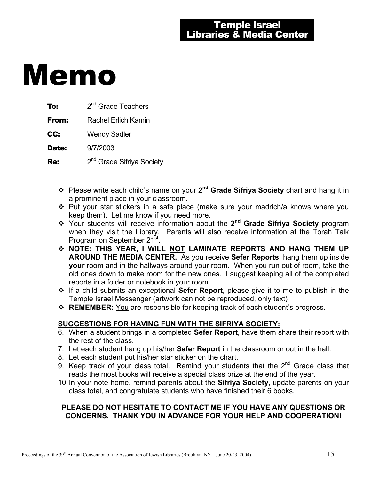| 2 <sup>nd</sup> Grade Teachers        |
|---------------------------------------|
| Rachel Erlich Kamin                   |
| <b>Wendy Sadler</b>                   |
| 9/7/2003                              |
| 2 <sup>nd</sup> Grade Sifriya Society |
|                                       |

- Please write each child's name on your **2nd Grade Sifriya Society** chart and hang it in a prominent place in your classroom.
- Put your star stickers in a safe place (make sure your madrich/a knows where you keep them). Let me know if you need more.
- Your students will receive information about the **2nd Grade Sifriya Society** program when they visit the Library. Parents will also receive information at the Torah Talk Program on September 21<sup>st</sup>.
- **NOTE: THIS YEAR, I WILL NOT LAMINATE REPORTS AND HANG THEM UP AROUND THE MEDIA CENTER.** As you receive **Sefer Reports**, hang them up inside **your** room and in the hallways around your room. When you run out of room, take the old ones down to make room for the new ones. I suggest keeping all of the completed reports in a folder or notebook in your room.
- If a child submits an exceptional **Sefer Report**, please give it to me to publish in the Temple Israel Messenger (artwork can not be reproduced, only text)
- **REMEMBER:** You are responsible for keeping track of each student's progress.

#### **SUGGESTIONS FOR HAVING FUN WITH THE SIFRIYA SOCIETY:**

- 6. When a student brings in a completed **Sefer Report**, have them share their report with the rest of the class.
- 7. Let each student hang up his/her **Sefer Report** in the classroom or out in the hall.
- 8. Let each student put his/her star sticker on the chart.
- 9. Keep track of your class total. Remind your students that the  $2^{nd}$  Grade class that reads the most books will receive a special class prize at the end of the year.
- 10. In your note home, remind parents about the **Sifriya Society**, update parents on your class total, and congratulate students who have finished their 6 books.

#### **PLEASE DO NOT HESITATE TO CONTACT ME IF YOU HAVE ANY QUESTIONS OR CONCERNS. THANK YOU IN ADVANCE FOR YOUR HELP AND COOPERATION!**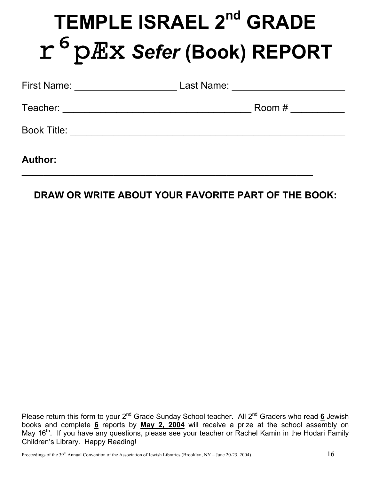# **TEMPLE ISRAEL 2<sup>nd</sup> GRADE** ripÆx *Sefer* **(Book) REPORT**

| <b>First Name:</b> | Last Name: |
|--------------------|------------|
| Teacher:           | Room #     |
| <b>Book Title:</b> |            |
| <b>Author:</b>     |            |

## **DRAW OR WRITE ABOUT YOUR FAVORITE PART OF THE BOOK:**

**\_\_\_\_\_\_\_\_\_\_\_\_\_\_\_\_\_\_\_\_\_\_\_\_\_\_\_\_\_\_\_\_\_\_\_\_\_\_\_\_\_\_\_\_\_\_\_\_\_\_\_\_\_\_** 

Please return this form to your 2<sup>nd</sup> Grade Sunday School teacher. All 2<sup>nd</sup> Graders who read 6 Jewish books and complete **6** reports by **May 2, 2004** will receive a prize at the school assembly on May 16<sup>th</sup>. If you have any questions, please see your teacher or Rachel Kamin in the Hodari Family Children's Library. Happy Reading!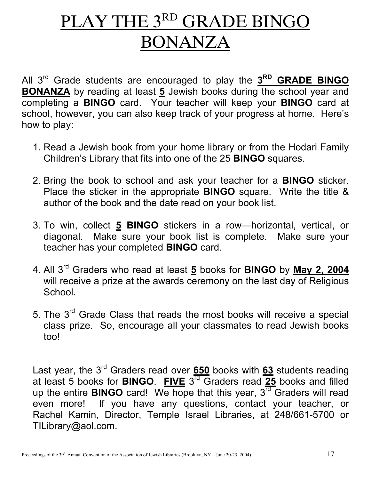# PLAY THE 3RD GRADE BINGO BONANZA

All 3rd Grade students are encouraged to play the **3RD GRADE BINGO BONANZA** by reading at least **5** Jewish books during the school year and completing a **BINGO** card. Your teacher will keep your **BINGO** card at school, however, you can also keep track of your progress at home. Here's how to play:

- 1. Read a Jewish book from your home library or from the Hodari Family Children's Library that fits into one of the 25 **BINGO** squares.
- 2. Bring the book to school and ask your teacher for a **BINGO** sticker. Place the sticker in the appropriate **BINGO** square. Write the title & author of the book and the date read on your book list.
- 3. To win, collect **5 BINGO** stickers in a row—horizontal, vertical, or diagonal. Make sure your book list is complete. Make sure your teacher has your completed **BINGO** card.
- 4. All 3rd Graders who read at least **5** books for **BINGO** by **May 2, 2004** will receive a prize at the awards ceremony on the last day of Religious School.
- 5. The 3rd Grade Class that reads the most books will receive a special class prize. So, encourage all your classmates to read Jewish books too!

Last year, the 3rd Graders read over **650** books with **63** students reading at least 5 books for **BINGO**. **FIVE** 3rd Graders read **25** books and filled up the entire **BINGO** card! We hope that this year, 3<sup>rd</sup> Graders will read even more! If you have any questions, contact your teacher, or Rachel Kamin, Director, Temple Israel Libraries, at 248/661-5700 or TILibrary@aol.com.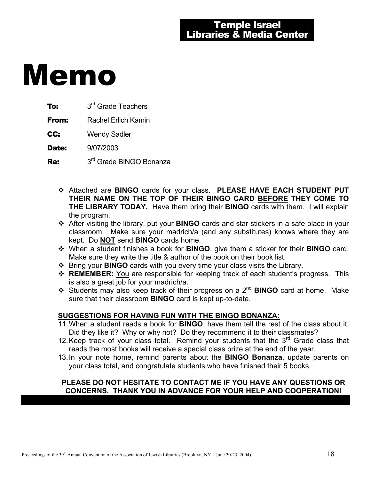| To:          | 3 <sup>rd</sup> Grade Teachers      |
|--------------|-------------------------------------|
| From:        | Rachel Erlich Kamin                 |
| CC:          | <b>Wendy Sadler</b>                 |
| <b>Date:</b> | 9/07/2003                           |
| Re:          | 3 <sup>rd</sup> Grade BINGO Bonanza |

- Attached are **BINGO** cards for your class. **PLEASE HAVE EACH STUDENT PUT THEIR NAME ON THE TOP OF THEIR BINGO CARD BEFORE THEY COME TO THE LIBRARY TODAY.** Have them bring their **BINGO** cards with them. I will explain the program.
- After visiting the library, put your **BINGO** cards and star stickers in a safe place in your classroom. Make sure your madrich/a (and any substitutes) knows where they are kept. Do **NOT** send **BINGO** cards home.
- When a student finishes a book for **BINGO**, give them a sticker for their **BINGO** card. Make sure they write the title & author of the book on their book list.
- Bring your **BINGO** cards with you every time your class visits the Library.
- **REMEMBER:** You are responsible for keeping track of each student's progress. This is also a great job for your madrich/a.
- Students may also keep track of their progress on a 2nd **BINGO** card at home. Make sure that their classroom **BINGO** card is kept up-to-date.

#### **SUGGESTIONS FOR HAVING FUN WITH THE BINGO BONANZA:**

- 11. When a student reads a book for **BINGO**, have them tell the rest of the class about it. Did they like it? Why or why not? Do they recommend it to their classmates?
- 12. Keep track of your class total. Remind your students that the  $3<sup>rd</sup>$  Grade class that reads the most books will receive a special class prize at the end of the year.
- 13. In your note home, remind parents about the **BINGO Bonanza**, update parents on your class total, and congratulate students who have finished their 5 books.

#### **PLEASE DO NOT HESITATE TO CONTACT ME IF YOU HAVE ANY QUESTIONS OR CONCERNS. THANK YOU IN ADVANCE FOR YOUR HELP AND COOPERATION!**